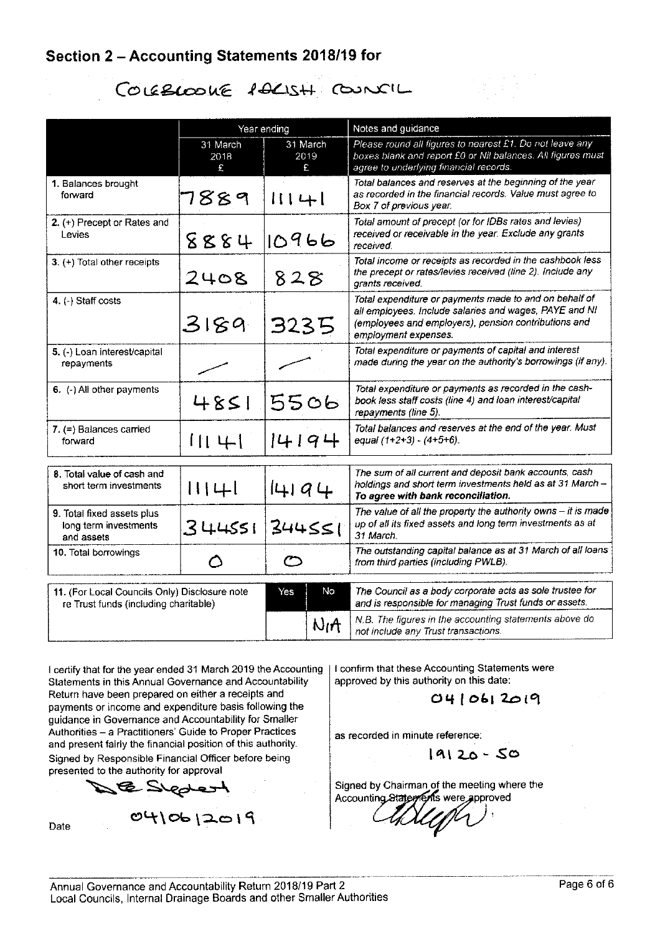### Section 2 - Accounting Statements 2018/19 for

# COLEBLOOKE POLISH COUNCIL

|                                                                                        |                       | Year ending           | Notes and guidance                                                                                                                                                                               |  |  |  |
|----------------------------------------------------------------------------------------|-----------------------|-----------------------|--------------------------------------------------------------------------------------------------------------------------------------------------------------------------------------------------|--|--|--|
|                                                                                        | 31 March<br>2018<br>£ | 31 March<br>2019<br>£ | Please round all figures to nearest £1. Do not leave any<br>boxes blank and report £0 or Nil balances. All figures must<br>agree to underlying financial records.                                |  |  |  |
| 1. Balances brought<br>forward                                                         | 7889                  | $111 + 1$             | Total balances and reserves at the beginning of the year<br>as recorded in the financial records. Value must agree to<br>Box 7 of previous year.                                                 |  |  |  |
| 2. (+) Precept or Rates and<br>Levies                                                  | 8884                  | 10966                 | Total amount of precept (or for IDBs rates and levies)<br>received or receivable in the year. Exclude any grants<br>received.                                                                    |  |  |  |
| 3. (+) Total other receipts                                                            | 2408                  | 828                   | Total income or receipts as recorded in the cashbook less<br>the precept or rates/levies received (line 2). Include any<br>grants received.                                                      |  |  |  |
| 4 (-) Staff costs                                                                      | 3189                  | 3235                  | Total expenditure or payments made to and on behalf of<br>all employees. Include salaries and wages, PAYE and NI<br>(employees and employers), pension contributions and<br>employment expenses. |  |  |  |
| 5. (-) Loan interest/capital<br>repayments                                             |                       |                       | Total expenditure or payments of capital and interest<br>made during the year on the authority's borrowings (if any).                                                                            |  |  |  |
| 6. (-) All other payments                                                              | 4851                  | 5506                  | Total expenditure or payments as recorded in the cash-<br>book less staff costs (line 4) and loan interest/capital<br>repayments (line 5).                                                       |  |  |  |
| $7$ (=) Balances carried<br>forward                                                    | 1141                  | 14194                 | Total balances and reserves at the end of the year. Must<br>equal $(1+2+3) - (4+5+6)$ .                                                                                                          |  |  |  |
| 8. Total value of cash and<br>short term investments                                   | 11141                 | 4 74                  | The sum of all current and deposit bank accounts, cash<br>holdings and short term investments held as at 31 March -<br>To agree with bank reconciliation.                                        |  |  |  |
| 9. Total fixed assets plus<br>long term investments<br>and assets                      | 344551                | 344551                | The value of all the property the authority owns $-$ it is made<br>up of all its fixed assets and long term investments as at<br>31 March.                                                       |  |  |  |
| 10. Total borrowings                                                                   | Ω                     | $\subset$             | The outstanding capital balance as at 31 March of all loans<br>from third parties (including PWLB).                                                                                              |  |  |  |
|                                                                                        |                       |                       |                                                                                                                                                                                                  |  |  |  |
| 11. (For Local Councils Only) Disclosure note<br>re Trust funds (including charitable) |                       | No<br>Yes             | The Council as a body corporate acts as sole trustee for<br>and is responsible for managing Trust funds or assets.                                                                               |  |  |  |
|                                                                                        |                       | $N_1A$                | N.B. The figures in the accounting statements above do<br>not include any Trust transactions.                                                                                                    |  |  |  |

I certify that for the year ended 31 March 2019 the Accounting Statements in this Annual Governance and Accountability Return have been prepared on either a receipts and payments or income and expenditure basis following the guidance in Governance and Accountability for Smaller Authorities - a Practitioners' Guide to Proper Practices and present fairly the financial position of this authority. Signed by Responsible Financial Officer before being presented to the authority for approval

0410612019

B Skpbert

Date

I confirm that these Accounting Statements were approved by this authority on this date:

 $0410612019$ 

as recorded in minute reference:

 $19120 - 50$ 

Signed by Chairman of the meeting where the Accounting State ments were approved

Annual Governance and Accountability Return 2018/19 Part 2 Local Councils, Internal Drainage Boards and other Smaller Authorities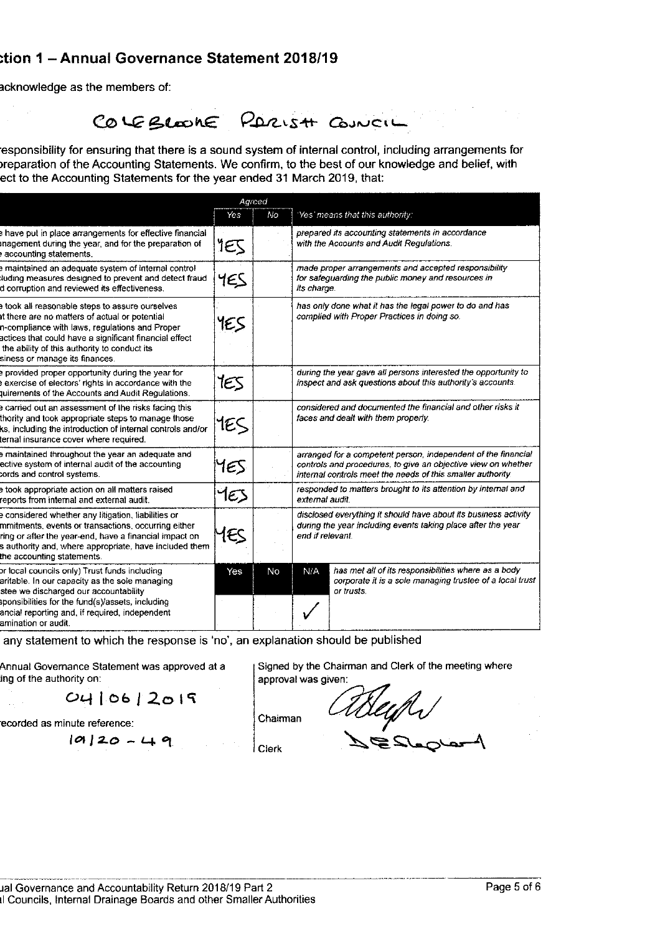#### tion 1 - Annual Governance Statement 2018/19

acknowledge as the members of:

## COLEBLOOKE PARISH COUNCIL

esponsibility for ensuring that there is a sound system of internal control, including arrangements for preparation of the Accounting Statements. We confirm, to the best of our knowledge and belief, with ect to the Accounting Statements for the year ended 31 March 2019, that:

|                                                                                                                                                                                                                                                                                               |     | Agreed |                                                                                                                                                                                               |
|-----------------------------------------------------------------------------------------------------------------------------------------------------------------------------------------------------------------------------------------------------------------------------------------------|-----|--------|-----------------------------------------------------------------------------------------------------------------------------------------------------------------------------------------------|
|                                                                                                                                                                                                                                                                                               | Yes | No     | 'Yes' means that this authority:                                                                                                                                                              |
| have put in place arrangements for effective financial<br>nagement during the year, and for the preparation of<br>accounting statements.                                                                                                                                                      | 1EJ |        | prepared its accounting statements in accordance<br>with the Accounts and Audit Regulations.                                                                                                  |
| maintained an adequate system of internal control<br>luding measures designed to prevent and detect fraud<br>d corruption and reviewed its effectiveness.                                                                                                                                     | YES |        | made proper arrangements and accepted responsibility<br>for safeguarding the public money and resources in<br>its charge.                                                                     |
| took all reasonable steps to assure ourselves<br>it there are no matters of actual or potential<br>n-compliance with laws, regulations and Proper<br>actices that could have a significant financial effect<br>the ability of this authority to conduct its<br>siness or manage its finances. | YES |        | has only done what it has the legal power to do and has<br>complied with Proper Practices in doing so.                                                                                        |
| provided proper opportunity during the year for<br>exercise of electors' rights in accordance with the<br>juirements of the Accounts and Audit Regulations.                                                                                                                                   | tes |        | during the year gave all persons interested the opportunity to<br>inspect and ask questions about this authority's accounts.                                                                  |
| e carried out an assessment of the risks facing this<br>thority and took appropriate steps to manage those<br>ks, including the introduction of internal controls and/or<br>ternal insurance cover where required.                                                                            | 1ES |        | considered and documented the financial and other risks it<br>faces and dealt with them properly.                                                                                             |
| maintained throughout the year an adequate and<br>ective system of internal audit of the accounting<br>cords and control systems.                                                                                                                                                             | 1ES |        | arranged for a competent person, independent of the financial<br>controls and procedures, to give an objective view on whether<br>internal controls meet the needs of this smaller authority. |
| took appropriate action on all matters raised<br>reports from internal and external audit.                                                                                                                                                                                                    | YES |        | responded to matters brought to its attention by internal and<br>external audit.                                                                                                              |
| e considered whether any litigation, liabilities or<br>mmitments, events or transactions, occurring either<br>ring or after the year-end, have a financial impact on<br>s authority and, where appropriate, have included them<br>the accounting statements.                                  | 1ES |        | disclosed everything it should have about its business activity<br>during the year including events taking place after the year<br>end if relevant.                                           |
| or local councils only) Trust funds including<br>aritable. In our capacity as the sole managing<br>stee we discharged our accountability<br>sponsibilities for the fund(s)/assets, including<br>ancial reporting and, if required, independent<br>amination or audit.                         | Yes | No     | has met all of its responsibilities where as a body<br>N/A<br>corporate it is a sole managing trustee of a local trust<br>or trusts.                                                          |

any statement to which the response is 'no', an explanation should be published

Annual Governance Statement was approved at a ing of the authority on:

 $O(106/2019)$ 

ecorded as minute reference:

 $10120 - 49$ 

Signed by the Chairman and Clerk of the meeting where approval was given:

*ableyth* 

Clerk

Chairman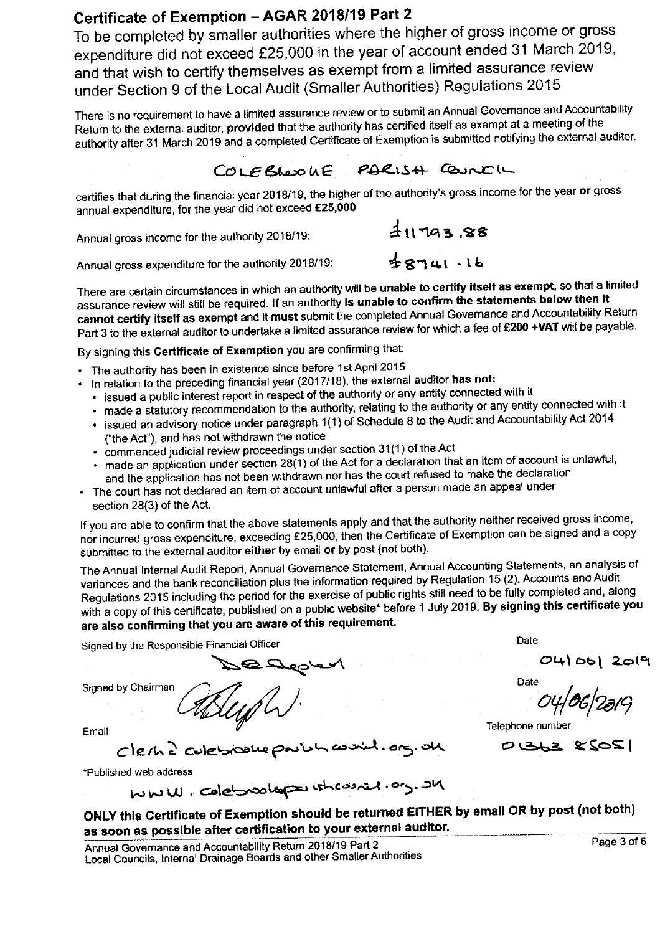# Certificate of Exemption - AGAR 2018/19 Part 2

To be completed by smaller authorities where the higher of gross income or gross expenditure did not exceed £25,000 in the year of account ended 31 March 2019, and that wish to certify themselves as exempt from a limited assurance review under Section 9 of the Local Audit (Smaller Authorities) Regulations 2015

There is no requirement to have a limited assurance review or to submit an Annual Governance and Accountability Return to the external auditor, provided that the authority has certified itself as exempt at a meeting of the authority after 31 March 2019 and a completed Certificate of Exemption is submitted notifying the external auditor.

#### PARISH COUNTIL COLEBROOKE

 $38.88$ 

 $48741.16$ 

certifies that during the financial year 2018/19, the higher of the authority's gross income for the year or gross annual expenditure, for the year did not exceed £25,000

Annual gross income for the authority 2018/19:

Annual gross expenditure for the authority 2018/19:

There are certain circumstances in which an authority will be unable to certify itself as exempt, so that a limited assurance review will still be required. If an authority is unable to confirm the statements below then it cannot certify itself as exempt and it must submit the completed Annual Governance and Accountability Return Part 3 to the external auditor to undertake a limited assurance review for which a fee of £200 +VAT will be payable.

By signing this Certificate of Exemption you are confirming that:

- The authority has been in existence since before 1st April 2015
- In relation to the preceding financial year (2017/18), the external auditor has not:
- · issued a public interest report in respect of the authority or any entity connected with it
- · made a statutory recommendation to the authority, relating to the authority or any entity connected with it
- · issued an advisory notice under paragraph 1(1) of Schedule 8 to the Audit and Accountability Act 2014 ("the Act"), and has not withdrawn the notice
- · commenced judicial review proceedings under section 31(1) of the Act
- made an application under section 28(1) of the Act for a declaration that an item of account is unlawful, and the application has not been withdrawn nor has the court refused to make the declaration
- . The court has not declared an item of account unlawful after a person made an appeal under section 28(3) of the Act.

If you are able to confirm that the above statements apply and that the authority neither received gross income, nor incurred gross expenditure, exceeding £25,000, then the Certificate of Exemption can be signed and a copy submitted to the external auditor either by email or by post (not both).

The Annual Internal Audit Report, Annual Governance Statement, Annual Accounting Statements, an analysis of variances and the bank reconciliation plus the information required by Regulation 15 (2), Accounts and Audit Regulations 2015 including the period for the exercise of public rights still need to be fully completed and, along with a copy of this certificate, published on a public website\* before 1 July 2019. By signing this certificate you are also confirming that you are aware of this requirement.

Signed by the Responsible Financial Officer

Date

 $O(4)$  06) 2019

Date

Telephone number

 $O(362 \times SOS)$ 

Email

Signed by Chairman

Clerne culebroome poulon \*Published web address

MWW. Colebookope wheas at . org. OM

ONLY this Certificate of Exemption should be returned EITHER by email OR by post (not both) as soon as possible after certification to your external auditor.

ندگر. ۱۵ در. نالم

Annual Governance and Accountability Return 2018/19 Part 2 Local Councils, Internal Drainage Boards and other Smaller Authorities Page 3 of 6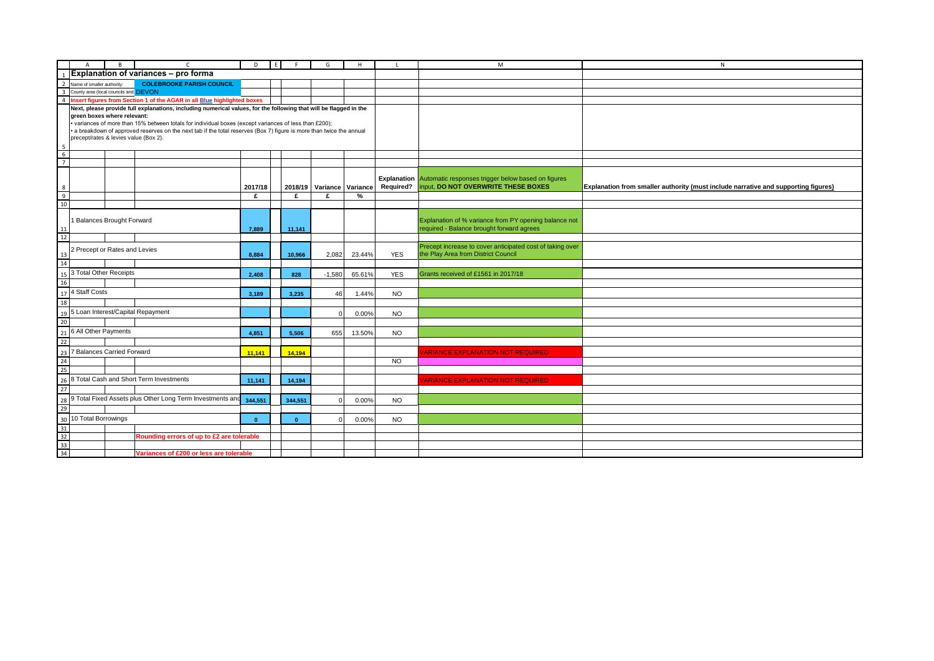|                 | $\mathsf{A}$                | B<br>$\mathsf{C}$                                                                                                                                                                                                               | $\mathsf{D}$ | E | F            | G                         | H      | л.         | M                                                                                                  | $\mathsf{N}$                                                                       |
|-----------------|-----------------------------|---------------------------------------------------------------------------------------------------------------------------------------------------------------------------------------------------------------------------------|--------------|---|--------------|---------------------------|--------|------------|----------------------------------------------------------------------------------------------------|------------------------------------------------------------------------------------|
|                 |                             | Explanation of variances - pro forma                                                                                                                                                                                            |              |   |              |                           |        |            |                                                                                                    |                                                                                    |
| $\overline{2}$  | Name of smaller authority:  | <b>COLEBROOKE PARISH COUNCIL</b>                                                                                                                                                                                                |              |   |              |                           |        |            |                                                                                                    |                                                                                    |
|                 |                             | 3 County area (local councils and DEVON                                                                                                                                                                                         |              |   |              |                           |        |            |                                                                                                    |                                                                                    |
|                 |                             | 4 Insert figures from Section 1 of the AGAR in all Blue highlighted boxes                                                                                                                                                       |              |   |              |                           |        |            |                                                                                                    |                                                                                    |
|                 |                             | Next, please provide full explanations, including numerical values, for the following that will be flagged in the                                                                                                               |              |   |              |                           |        |            |                                                                                                    |                                                                                    |
|                 | green boxes where relevant: |                                                                                                                                                                                                                                 |              |   |              |                           |        |            |                                                                                                    |                                                                                    |
|                 |                             | • variances of more than 15% between totals for individual boxes (except variances of less than £200);<br>• a breakdown of approved reserves on the next tab if the total reserves (Box 7) figure is more than twice the annual |              |   |              |                           |        |            |                                                                                                    |                                                                                    |
|                 |                             | precept/rates & levies value (Box 2).                                                                                                                                                                                           |              |   |              |                           |        |            |                                                                                                    |                                                                                    |
| 5               |                             |                                                                                                                                                                                                                                 |              |   |              |                           |        |            |                                                                                                    |                                                                                    |
| $6\overline{6}$ |                             |                                                                                                                                                                                                                                 |              |   |              |                           |        |            |                                                                                                    |                                                                                    |
| $\overline{7}$  |                             |                                                                                                                                                                                                                                 |              |   |              |                           |        |            |                                                                                                    |                                                                                    |
|                 |                             |                                                                                                                                                                                                                                 |              |   |              |                           |        |            |                                                                                                    |                                                                                    |
|                 |                             |                                                                                                                                                                                                                                 |              |   |              |                           |        |            | <b>Explanation</b> Automatic responses trigger below based on figures                              |                                                                                    |
| 8               |                             |                                                                                                                                                                                                                                 | 2017/18      |   |              | 2018/19 Variance Variance |        | Required?  | input, DO NOT OVERWRITE THESE BOXES                                                                | Explanation from smaller authority (must include narrative and supporting figures) |
| $\overline{9}$  |                             |                                                                                                                                                                                                                                 | £            |   | £            | £                         | %      |            |                                                                                                    |                                                                                    |
| 10              |                             |                                                                                                                                                                                                                                 |              |   |              |                           |        |            |                                                                                                    |                                                                                    |
|                 |                             |                                                                                                                                                                                                                                 |              |   |              |                           |        |            |                                                                                                    |                                                                                    |
|                 |                             | 1 Balances Brought Forward                                                                                                                                                                                                      |              |   |              |                           |        |            | Explanation of % variance from PY opening balance not<br>required - Balance brought forward agrees |                                                                                    |
| 11<br>12        |                             |                                                                                                                                                                                                                                 | 7,889        |   | 11,141       |                           |        |            |                                                                                                    |                                                                                    |
|                 |                             |                                                                                                                                                                                                                                 |              |   |              |                           |        |            | Precept increase to cover anticipated cost of taking over                                          |                                                                                    |
| 13              |                             | Precept or Rates and Levies                                                                                                                                                                                                     | 8,884        |   | 10,966       | 2,082                     | 23.44% | <b>YES</b> | the Play Area from District Council                                                                |                                                                                    |
| 14              |                             |                                                                                                                                                                                                                                 |              |   |              |                           |        |            |                                                                                                    |                                                                                    |
|                 | 3 Total Other Receipts      |                                                                                                                                                                                                                                 |              |   |              |                           |        |            |                                                                                                    |                                                                                    |
| 15<br>16        |                             |                                                                                                                                                                                                                                 | 2,408        |   | 828          | $-1,580$                  | 65.61% | <b>YES</b> | Grants received of £1561 in 2017/18                                                                |                                                                                    |
|                 |                             |                                                                                                                                                                                                                                 |              |   |              |                           |        |            |                                                                                                    |                                                                                    |
|                 | 17 4 Staff Costs            |                                                                                                                                                                                                                                 | 3,189        |   | 3,235        | 46                        | 1.44%  | <b>NO</b>  |                                                                                                    |                                                                                    |
| 18              |                             |                                                                                                                                                                                                                                 |              |   |              |                           |        |            |                                                                                                    |                                                                                    |
| 19              |                             | 5 Loan Interest/Capital Repayment                                                                                                                                                                                               |              |   |              |                           | 0.00%  | <b>NO</b>  |                                                                                                    |                                                                                    |
|                 |                             |                                                                                                                                                                                                                                 |              |   |              |                           |        |            |                                                                                                    |                                                                                    |
| $\frac{20}{21}$ | 6 All Other Payments        |                                                                                                                                                                                                                                 | 4,851        |   | 5,506        | 655                       | 13.50% | <b>NO</b>  |                                                                                                    |                                                                                    |
| 22              |                             |                                                                                                                                                                                                                                 |              |   |              |                           |        |            |                                                                                                    |                                                                                    |
| 23              |                             | 7 Balances Carried Forward                                                                                                                                                                                                      | 11,141       |   | 14,194       |                           |        |            | <b>VARIANCE EXPLANATION NOT REQUIRED</b>                                                           |                                                                                    |
|                 |                             |                                                                                                                                                                                                                                 |              |   |              |                           |        | <b>NO</b>  |                                                                                                    |                                                                                    |
| $\frac{24}{25}$ |                             |                                                                                                                                                                                                                                 |              |   |              |                           |        |            |                                                                                                    |                                                                                    |
| 26              |                             | 8 Total Cash and Short Term Investments                                                                                                                                                                                         | 11,141       |   | 14,194       |                           |        |            | <b>/ARIANCE EXPLANATION NOT REQUIRED</b>                                                           |                                                                                    |
| 27              |                             |                                                                                                                                                                                                                                 |              |   |              |                           |        |            |                                                                                                    |                                                                                    |
| 28              |                             | 9 Total Fixed Assets plus Other Long Term Investments and                                                                                                                                                                       | 344,551      |   | 344,551      |                           | 0.00%  | <b>NO</b>  |                                                                                                    |                                                                                    |
| 29              |                             |                                                                                                                                                                                                                                 |              |   |              |                           |        |            |                                                                                                    |                                                                                    |
|                 | 10 Total Borrowings         |                                                                                                                                                                                                                                 |              |   |              |                           | 0.00%  | <b>NO</b>  |                                                                                                    |                                                                                    |
| $30\,$<br>31    |                             |                                                                                                                                                                                                                                 | $\mathbf{0}$ |   | $\mathbf{0}$ |                           |        |            |                                                                                                    |                                                                                    |
| 32              |                             | Rounding errors of up to £2 are tolerable                                                                                                                                                                                       |              |   |              |                           |        |            |                                                                                                    |                                                                                    |
| 33              |                             |                                                                                                                                                                                                                                 |              |   |              |                           |        |            |                                                                                                    |                                                                                    |
| 34              |                             | Variances of £200 or less are tolerable                                                                                                                                                                                         |              |   |              |                           |        |            |                                                                                                    |                                                                                    |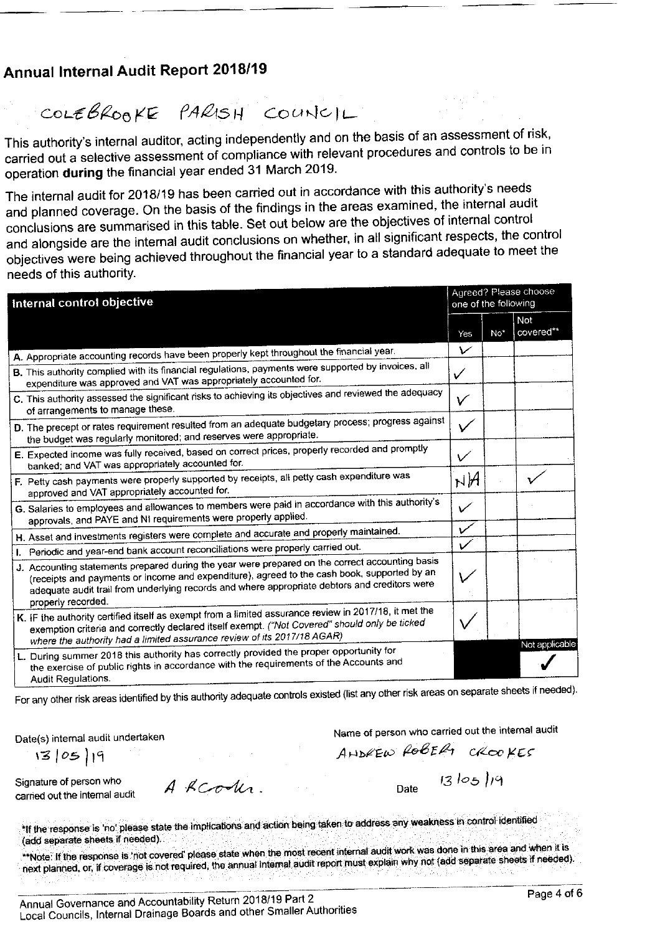### Annual Internal Audit Report 2018/19

COLEBROOKE PARISH COUNCIL

This authority's internal auditor, acting independently and on the basis of an assessment of risk, carried out a selective assessment of compliance with relevant procedures and controls to be in operation during the financial year ended 31 March 2019.

The internal audit for 2018/19 has been carried out in accordance with this authority's needs and planned coverage. On the basis of the findings in the areas examined, the internal audit conclusions are summarised in this table. Set out below are the objectives of internal control and alongside are the internal audit conclusions on whether, in all significant respects, the control objectives were being achieved throughout the financial year to a standard adequate to meet the needs of this authority.

| Internal control objective |                                                                                                                                                                                                                                                                                                                       |              |                 | Agreed? Please choose<br>one of the following |  |  |  |
|----------------------------|-----------------------------------------------------------------------------------------------------------------------------------------------------------------------------------------------------------------------------------------------------------------------------------------------------------------------|--------------|-----------------|-----------------------------------------------|--|--|--|
|                            |                                                                                                                                                                                                                                                                                                                       | Yes          | No <sup>*</sup> | Not<br>covered**                              |  |  |  |
|                            | A. Appropriate accounting records have been properly kept throughout the financial year.                                                                                                                                                                                                                              | V            |                 |                                               |  |  |  |
|                            | B. This authority complied with its financial regulations, payments were supported by invoices, all<br>expenditure was approved and VAT was appropriately accounted for.                                                                                                                                              | ✓            |                 |                                               |  |  |  |
|                            | C. This authority assessed the significant risks to achieving its objectives and reviewed the adequacy<br>of arrangements to manage these.                                                                                                                                                                            | V            |                 |                                               |  |  |  |
|                            | D. The precept or rates requirement resulted from an adequate budgetary process; progress against<br>the budget was regularly monitored; and reserves were appropriate.                                                                                                                                               | $\checkmark$ |                 |                                               |  |  |  |
|                            | E. Expected income was fully received, based on correct prices, properly recorded and promptly<br>banked; and VAT was appropriately accounted for.                                                                                                                                                                    | ✓            |                 |                                               |  |  |  |
|                            | $\sf F$ . Petty cash payments were properly supported by receipts, all petty cash expenditure was<br>approved and VAT appropriately accounted for.                                                                                                                                                                    | $h$ H $H$    |                 |                                               |  |  |  |
|                            | G. Salaries to employees and allowances to members were paid in accordance with this authority's<br>approvals, and PAYE and NI requirements were properly applied.                                                                                                                                                    | ✓            |                 |                                               |  |  |  |
|                            | H. Asset and investments registers were complete and accurate and properly maintained.                                                                                                                                                                                                                                | v            |                 |                                               |  |  |  |
|                            | I. Periodic and year-end bank account reconciliations were properly carried out.                                                                                                                                                                                                                                      | $\checkmark$ |                 |                                               |  |  |  |
|                            | J. Accounting statements prepared during the year were prepared on the correct accounting basis<br>(receipts and payments or income and expenditure), agreed to the cash book, supported by an<br>adequate audit trail from underlying records and where appropriate debtors and creditors were<br>properly recorded. |              |                 |                                               |  |  |  |
|                            | K. IF the authority certified itself as exempt from a limited assurance review in 2017/18, it met the<br>exemption criteria and correctly declared itself exempt. ("Not Covered" should only be ticked<br>where the authority had a limited assurance review of its 2017/18 AGAR)                                     |              |                 |                                               |  |  |  |
|                            | L. During summer 2018 this authority has correctly provided the proper opportunity for<br>the exercise of public rights in accordance with the requirements of the Accounts and<br>Audit Requisitions.                                                                                                                |              |                 | Not applicable                                |  |  |  |

For any other risk areas identified by this authority adequate controls existed (list any other risk areas on separate sheets if needed).

Date(s) internal audit undertaken

Name of person who carried out the internal audit

13/05/19

ANDREW ROBERT CROOKES

Signature of person who carried out the internal audit

A RCodes.

 $13105119$ Date

\*If the response is 'no' please state the implications and action being taken to address any weakness in control identified (add separate sheets if needed).

\*\*Note: if the response is 'not covered' please state when the most recent internal audit work was done in this area and when it is next planned, or, if coverage is not required, the annual internal audit report must explain why not (add separate sheets if needed).